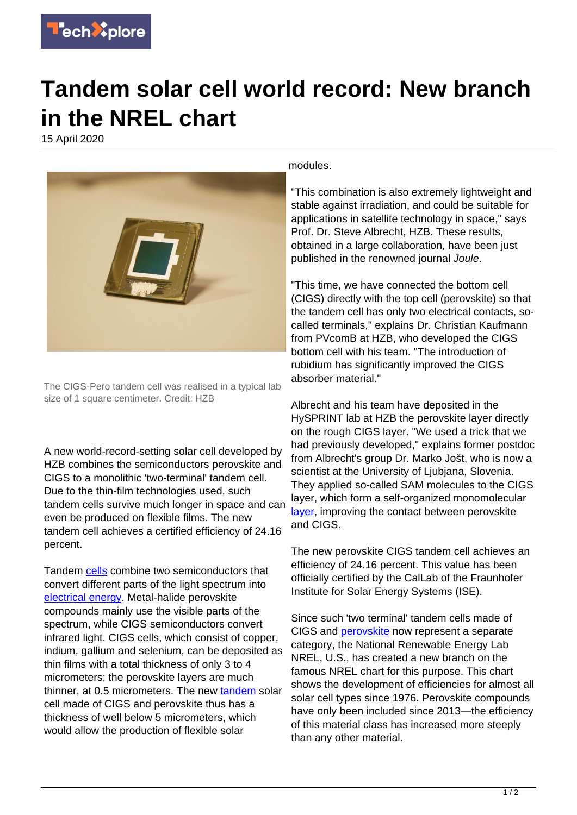

## **Tandem solar cell world record: New branch in the NREL chart**

15 April 2020



The CIGS-Pero tandem cell was realised in a typical lab size of 1 square centimeter. Credit: HZB

A new world-record-setting solar cell developed by HZB combines the semiconductors perovskite and CIGS to a monolithic 'two-terminal' tandem cell. Due to the thin-film technologies used, such tandem cells survive much longer in space and can even be produced on flexible films. The new tandem cell achieves a certified efficiency of 24.16 percent.

Tandem [cells](https://techxplore.com/tags/cells/) combine two semiconductors that convert different parts of the light spectrum into [electrical energy](https://techxplore.com/tags/electrical+energy/). Metal-halide perovskite compounds mainly use the visible parts of the spectrum, while CIGS semiconductors convert infrared light. CIGS cells, which consist of copper, indium, gallium and selenium, can be deposited as thin films with a total thickness of only 3 to 4 micrometers; the perovskite layers are much thinner, at 0.5 micrometers. The new [tandem](https://techxplore.com/tags/tandem/) solar cell made of CIGS and perovskite thus has a thickness of well below 5 micrometers, which would allow the production of flexible solar

modules.

"This combination is also extremely lightweight and stable against irradiation, and could be suitable for applications in satellite technology in space," says Prof. Dr. Steve Albrecht, HZB. These results, obtained in a large collaboration, have been just published in the renowned journal Joule.

"This time, we have connected the bottom cell (CIGS) directly with the top cell (perovskite) so that the tandem cell has only two electrical contacts, socalled terminals," explains Dr. Christian Kaufmann from PVcomB at HZB, who developed the CIGS bottom cell with his team. "The introduction of rubidium has significantly improved the CIGS absorber material."

Albrecht and his team have deposited in the HySPRINT lab at HZB the perovskite layer directly on the rough CIGS layer. "We used a trick that we had previously developed," explains former postdoc from Albrecht's group Dr. Marko Jošt, who is now a scientist at the University of Ljubjana, Slovenia. They applied so-called SAM molecules to the CIGS layer, which form a self-organized monomolecular [layer](https://techxplore.com/tags/layer/), improving the contact between perovskite and CIGS.

The new perovskite CIGS tandem cell achieves an efficiency of 24.16 percent. This value has been officially certified by the CalLab of the Fraunhofer Institute for Solar Energy Systems (ISE).

Since such 'two terminal' tandem cells made of CIGS and [perovskite](https://techxplore.com/tags/perovskite/) now represent a separate category, the National Renewable Energy Lab NREL, U.S., has created a new branch on the famous NREL chart for this purpose. This chart shows the development of efficiencies for almost all solar cell types since 1976. Perovskite compounds have only been included since 2013—the efficiency of this material class has increased more steeply than any other material.